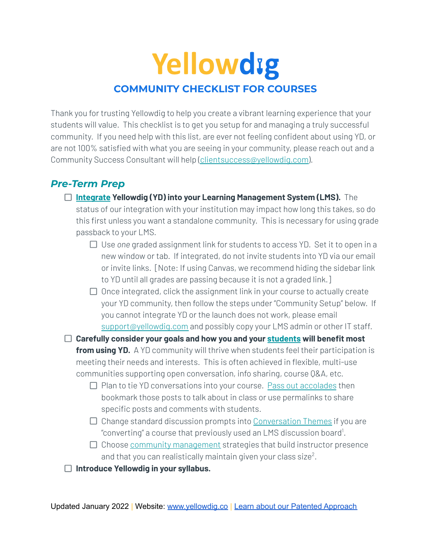# Yellowdig **COMMUNITY CHECKLIST FOR COURSES**

Thank you for trusting Yellowdig to help you create a vibrant learning experience that your students will value. This checklist is to get you setup for and managing a truly successful community. If you need help with this list, are ever not feeling confident about using YD, or are not 100% satisfied with what you are seeing in your community, please reach out and a Community Success Consultant will help [\(clientsuccess@yellowdig.com\)](mailto:clientsuccess@yellowdig.com).

### *Pre-Term Prep*

- **[Integrate](https://help.yellowdig.co/kb/en/integrations) Yellowdig (YD) into your Learning Management System (LMS).** The status of our integration with your institution may impact how long this takes, so do this first unless you want a standalone community. This is necessary for using grade passback to your LMS.
	- Use *one* graded assignment link for students to access YD. Set it to open in a new window or tab. If integrated, do not invite students into YD via our email or invite links. [Note: If using Canvas, we recommend hiding the sidebar link to YD until all grades are passing because it is not a graded link.]
	- $\Box$  Once integrated, click the assignment link in your course to actually create your YD community, then follow the steps under "Community Setup" below. If you cannot integrate YD or the launch does not work, please email [support@yellowdig.com](mailto:support@yellowdig.com) and possibly copy your LMS admin or other IT staff.
- **Carefully consider your goals and how you and your [students](https://www.yellowdig.co/student-experience) will benefit most from using YD.** A YD community will thrive when students feel their participation is meeting their needs and interests. This is often achieved in flexible, multi-use communities supporting open conversation, info sharing, course Q&A, etc.
	- $\Box$  Plan to tie YD conversations into your course. Pass out [accolades](https://help.yellowdig.co/kb/en/article/creating-and-using-accolades) then bookmark those posts to talk about in class or use permalinks to share specific posts and comments with students.
	- $\Box$  Change standard discussion prompts into [Conversation](https://d2x3xhvgiqkx42.cloudfront.net/d895b6a8-ee11-4f82-9c05-0b5a1e766c9c/520aa965-3f42-4a73-942e-d1b6876aebc3/2021/06/16/47558f98-59d5-42ec-aaeb-00ed5678f492/conversation_themes_cheat_sheet.pdf?response-content-disposition=attachment;filename*=UTF-8%27%27conversation_themes_cheat_sheet.pdf) Themes if you are "converting" a course that previously used an LMS discussion board<sup>1</sup>.
	- $\Box$  Choose community [management](https://learn.yellowdig.co/courses/icc) strategies that build instructor presence and that you can realistically maintain given your class size $^2$ .
- **Introduce Yellowdig in your syllabus.**

Updated January 2022 | Website: [www.yellowdig.co](http://www.yellowdig.co) | Learn about our Patented [Approach](https://blog.yellowdig.com/yellowdigs-patented-gamification-approach)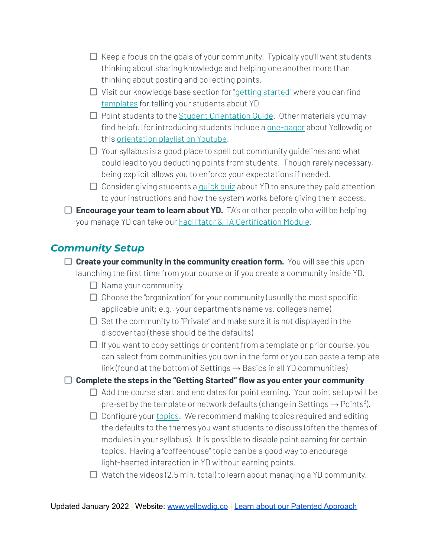- $\Box$  Keep a focus on the goals of your community. Typically you'll want students thinking about sharing knowledge and helping one another more than thinking about posting and collecting points.
- $\Box$  Visit our knowledge base section for "getting [started"](https://help.yellowdig.co/kb/en/getting-started) where you can find [templates](https://help.yellowdig.co/kb/en/article/telling-your-students-about-yellowdig-for-instructors) for telling your students about YD.
- $\Box$  Point students to the Student [Orientation](https://help.yellowdig.co/kb/en/article/yellowdig-orientation-guide-for-students) Guide. Other materials you may find helpful for introducing students include a [one-pager](https://f.hubspotusercontent00.net/hubfs/6960003/1-pagers/Updated%20in%202021/Student%20Purchase%20_One%20Pager_.pdf) about Yellowdig or this [orientation](https://crbrz04.na1.hubspotlinks.com/Btc/U+113/cRbRZ04/MVx57988j8zVsMpLm7JqD-WW8cYYgJ4CDYbjN46-8K93q90JV1-WJV7CgRNQW6K_QN98vkKn9W3fJ4rm2DRgLgW2NzsVp6WgXMrN5-BsX4R6tYgW3tKrqV266w4dN1YvbTkW1sjtW9fYgXZ8f5JCHW3RcbXh7vKdFTW64gDS34YHwPZW6PyYgR3nHqyYW659HCB7tH_JCN6T9nLTgYvQzW4_VxG54SsxSmVmPMb71q4DfKW2z6zrK6-TkWcW4DrVBJ4L1BmVV5_X0p93gBPyW6_1p-46sylGmW3PKxNm7WTfyxVCmVTQ3HhpX4W8p4xYC5zLzTpW5hjJg034dgH1W27WH4T5kLkd7W3pF5WZ3g8wdDV7-4cC4v2RndV3LLKB94f8jYW2D3J1n4ggHFHW8Jhc6c2cJVn33hZG1) playlist on Youtube.
- $\Box$  Your syllabus is a good place to spell out community guidelines and what could lead to you deducting points from students. Though rarely necessary, being explicit allows you to enforce your expectations if needed.
- $\Box$  Consider giving students a [quick](https://crbrz04.na1.hubspotlinks.com/Btc/U+113/cRbRZ04/MVx57988j8zVsMpLm7JqD-WW8cYYgJ4CDYbjN46-8K93q90JV1-WJV7CgCJlW58yXyb4wZ9bfW29F5hb1VfmwwVbzxSc5vRTgmW6ddGJ16xWcJpVSzVmb28XysJW3xgW6L3wVBjvN2RZbkDx_2YVW5-p2RQ52FKH_N30jkgt9vys7W5B3D2j2ZyGF5W26chLk7qdt_LW86qGrT873Qx4W7HLDfz4FK377W6mhCH-1yRr_NW44NKCb5Rlg0BW43v_lm1JcYXKW4t2NBt7ZH6W4VclXNt6vbHDKW5KPFQd4KTJ8TW7xFqSF4RN-q0MsLF8chV33pW12XfkM40nT8BW65bq8S7MXL4hW4snyLp73S97CVph74n37PS-pW3y7YYQ8n92PVW1gYc308rzSR_MsG_C_42gWF34SG1) quiz about YD to ensure they paid attention to your instructions and how the system works before giving them access.
- **Encourage your team to learn about YD.** TA's or other people who will be helping you manage YD can take our **Facilitator & TA [Certification](https://crbrz04.na1.hubspotlinks.com/Btc/U+113/cRbRZ04/MVx57988j8zVsMpLm7JqD-WW8cYYgJ4CDYbjN46-8JB3q905V1-WJV7CgFX3N3Bm6qL1lJbGW7rqSkR4FCbqZW4H0x_61vFKWdW7CYcFq5mK52XW6_KBpD6TFYyFW1rk7HH5xKpq6W4k1BbJ6Dcn7fN5kpyl7nj5XpW5J5hp51QmhJjW64L9HK8HdD71W8k_-xS8QVpK4MHrqWlTwRzcW2Y5trq3y82sfW1vdpmn1xMK_WW5_Mzkm83htgBW1BS6LF8_zyHTN74gK5-gkM5sW8t4Gmn8TcKfKW5s94GQ4yqfvxW91Jzzx6JCffjW1SnjP95lJG2fW4dKxzC4D1K8CW2Tvpkv8rpnp7W4c_yJ74HtcBL35FF1) Module**.

## *Community Setup*

- **Create your community in the community creation form.** You will see this upon launching the first time from your course or if you create a community inside YD.
	- $\Box$  Name your community
	- $\Box$  Choose the "organization" for your community (usually the most specific applicable unit; e.g., your department's name vs. college's name)
	- $\Box$  Set the community to "Private" and make sure it is not displayed in the discover tab (these should be the defaults)
	- $\Box$  If you want to copy settings or content from a template or prior course, you can select from communities you own in the form or you can paste a template link (found at the bottom of Settings  $\rightarrow$  Basics in all YD communities)

#### **Complete the steps in the "Getting Started" flow as you enter your community**

- $\Box$  Add the course start and end dates for point earning. Your point setup will be pre-set by the template or network defaults (change in Settings  $\rightarrow$  Points<sup>3</sup>).
- $\Box$  Configure your [topics](https://www.yellowdig.co/post/the-topic-is-topics). We recommend making topics required and editing the defaults to the themes you want students to discuss (often the themes of modules in your syllabus). It is possible to disable point earning for certain topics. Having a "coffeehouse" topic can be a good way to encourage light-hearted interaction in YD without earning points.
- $\Box$  Watch the videos (2.5 min. total) to learn about managing a YD community.

Updated January 2022 | Website: [www.yellowdig.co](http://www.yellowdig.co) | Learn about our Patented [Approach](https://blog.yellowdig.com/yellowdigs-patented-gamification-approach)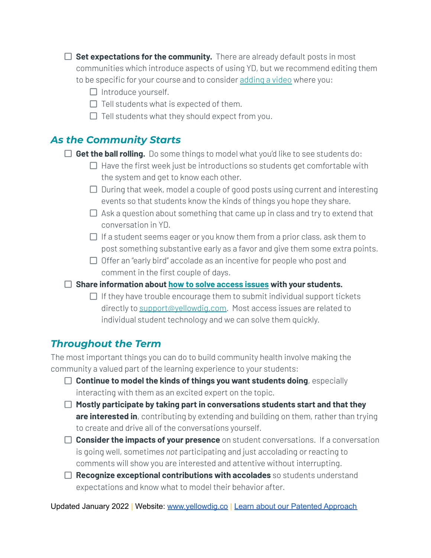- **Set expectations for the community.** There are already default posts in most communities which introduce aspects of using YD, but we recommend editing them to be specific for your course and to consider [adding](https://help.yellowdig.co/kb/en/article/video-introduction-script-for-instructors) a video where you:
	- $\Box$  Introduce yourself.
	- $\Box$  Tell students what is expected of them.
	- $\Box$  Tell students what they should expect from you.

### *As the Community Starts*

- **Get the ball rolling.** Do some things to model what you'd like to see students do:
	- $\Box$  Have the first week just be introductions so students get comfortable with the system and get to know each other.
	- $\Box$  During that week, model a couple of good posts using current and interesting events so that students know the kinds of things you hope they share.
	- $\Box$  Ask a question about something that came up in class and try to extend that conversation in YD.
	- $\Box$  If a student seems eager or you know them from a prior class, ask them to post something substantive early as a favor and give them some extra points.
	- $\Box$  Offer an "early bird" accolade as an incentive for people who post and comment in the first couple of days.
- **Share information about how to solve [access](https://help.yellowdig.co/kb/en/article/launching-into-yellowdig) issues with your students.**
	- $\Box$  If they have trouble encourage them to submit individual support tickets directly to [support@yellowdig.com.](mailto:support@yellowdig.com) Most access issues are related to individual student technology and we can solve them quickly.

# *Throughout the Term*

The most important things you can do to build community health involve making the community a valued part of the learning experience to your students:

- **Continue to model the kinds of things you want students doing**, especially interacting with them as an excited expert on the topic.
- **Mostly participate by taking part in conversations students start and that they are interested in**, contributing by extending and building on them, rather than trying to create and drive all of the conversations yourself.
- **Consider the impacts of your presence** on student conversations. If a conversation is going well, sometimes *not* participating and just accolading or reacting to comments will show you are interested and attentive without interrupting.
- **Recognize exceptional contributions with accolades** so students understand expectations and know what to model their behavior after.

Updated January 2022 | Website: [www.yellowdig.co](http://www.yellowdig.co) | Learn about our Patented [Approach](https://blog.yellowdig.com/yellowdigs-patented-gamification-approach)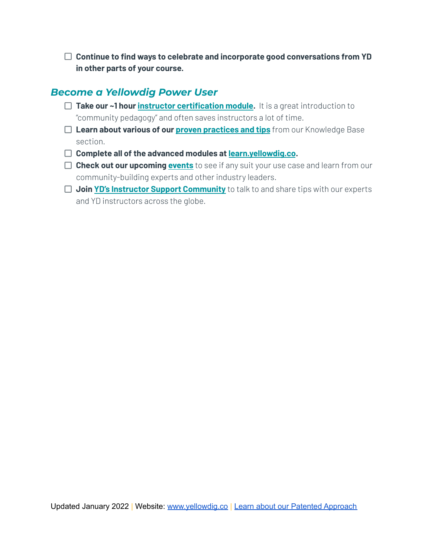**Continue to find ways to celebrate and incorporate good conversations from YD in other parts of your course.**

#### *Become a Yellowdig Power User*

- **Take our ~1 hour instructor [certification](https://learn.yellowdig.co/courses/icc) module.** It is a great introduction to "community pedagogy" and often saves instructors a lot of time.
- **Learn about various of our proven [practices](https://help.yellowdig.co/kb/en/pedagogy-proven-practices) and tips** from our Knowledge Base section.
- **Complete all of the advanced modules at [learn.yellowdig.co](http://learn.yellowdig.co).**
- **Check out our upcoming [events](https://www.yellowdig.co/events)** to see if any suit your use case and learn from our community-building experts and other industry leaders.
- **Join YD's Instructor Support [Community](https://crbrz04.na1.hubspotlinks.com/Btc/U+113/cRbRZ04/MVx57988j8zVsMpLm7JqD-WW8cYYgJ4CDYbjN46-8JV3q90pV1-WJV7CgP14W6q4Bb91g2vn-W2kFtKV47vPt-W1VrZZh61vQpMW1Zm3wQ13dRtwW1vHPxp868myrW43BYxq55NJ8JVQBwxb8Dmm4cW4jz-_V8DvcFNW2YbkDx8gP9h2W4GHXXJ7xSyj0W8qJlhx2TQZFPVMPCGx781GvhW77kk3K5RvKqzW1d5V_w1nblSdW3rGggl29bJK-W7Ss6Sp6dRn6FW3CGDGP5JWZG5W5fD4kr8SK5H-W1NR-M04-1cZxW3RqFK23Mh0xKW1KrkcV7Ly-DlW6V7ZMr8_KSH5W4GDmp61ZcnwgW1_Jv-L1ybWT-N8KQZnJF0HYqW8w7BTz7THG5l3hLC1)** to talk to and share tips with our experts and YD instructors across the globe.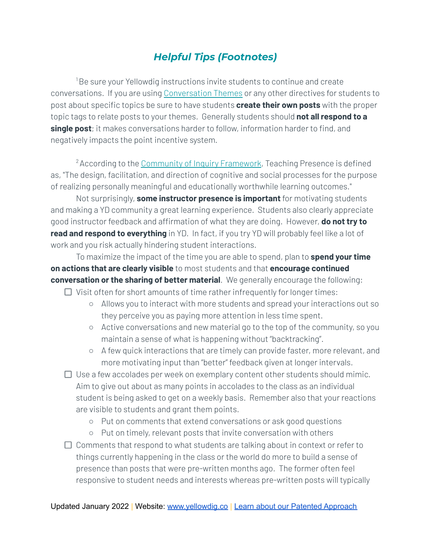## *Helpful Tips (Footnotes)*

<sup>1</sup>Be sure your Yellowdig instructions invite students to continue and create conversations. If you are using [Conversation](https://d2x3xhvgiqkx42.cloudfront.net/d895b6a8-ee11-4f82-9c05-0b5a1e766c9c/520aa965-3f42-4a73-942e-d1b6876aebc3/2021/06/16/47558f98-59d5-42ec-aaeb-00ed5678f492/conversation_themes_cheat_sheet.pdf?response-content-disposition=attachment;filename*=UTF-8%27%27conversation_themes_cheat_sheet.pdf) Themes or any other directives for students to post about specific topics be sure to have students **create their own posts** with the proper topic tags to relate posts to your themes. Generally students should **not all respond to a single post**; it makes conversations harder to follow, information harder to find, and negatively impacts the point incentive system.

<sup>2</sup> According to the [Community](https://coi.athabascau.ca/coi-model/) of Inquiry Framework, Teaching Presence is defined as, "The design, facilitation, and direction of cognitive and social processes for the purpose of realizing personally meaningful and educationally worthwhile learning outcomes."

Not surprisingly, **some instructor presence is important** for motivating students and making a YD community a great learning experience. Students also clearly appreciate good instructor feedback and affirmation of what they are doing. However, **do not try to read and respond to everything** in YD. In fact, if you try YD will probably feel like a lot of work and you risk actually hindering student interactions.

To maximize the impact of the time you are able to spend, plan to **spend your time on actions that are clearly visible** to most students and that **encourage continued conversation or the sharing of better material**. We generally encourage the following:

- $\Box$  Visit often for short amounts of time rather infrequently for longer times:
	- Allows you to interact with more students and spread your interactions out so they perceive you as paying more attention in less time spent.
	- Active conversations and new material go to the top of the community, so you maintain a sense of what is happening without "backtracking".
	- A few quick interactions that are timely can provide faster, more relevant, and more motivating input than "better" feedback given at longer intervals.
- $\Box$  Use a few accolades per week on exemplary content other students should mimic. Aim to give out about as many points in accolades to the class as an individual student is being asked to get on a weekly basis. Remember also that your reactions are visible to students and grant them points.
	- Put on comments that extend conversations or ask good questions
	- Put on timely, relevant posts that invite conversation with others

 $\Box$  Comments that respond to what students are talking about in context or refer to things currently happening in the class or the world do more to build a sense of presence than posts that were pre-written months ago. The former often feel responsive to student needs and interests whereas pre-written posts will typically